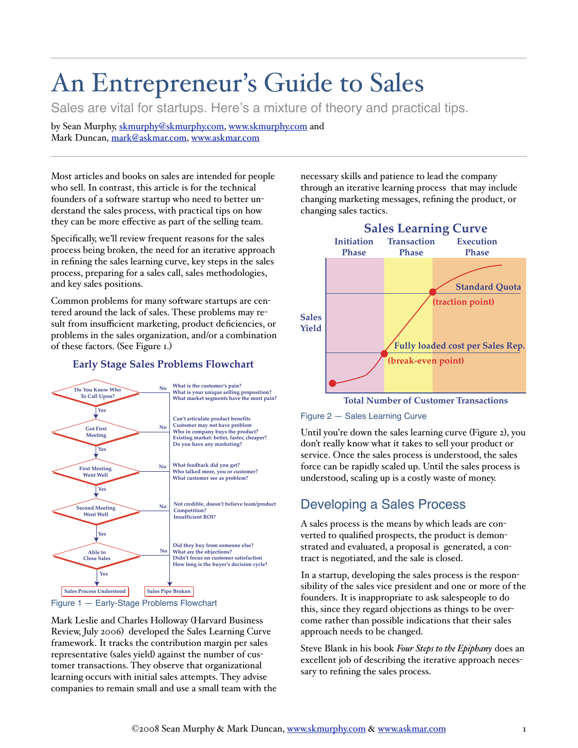# An Entrepreneur's Guide to Sales

Sales are vital for startups. Here's a mixture of theory and practical tips.

by Sean Murphy, skmurphy@skmurphy.com, www.skmurphy.com and Mark Duncan, mark@askmar.com, www.askmar.com

Most articles and books on sales are intended for people who sell. In contrast, this article is for the technical founders of a software startup who need to better un derstand the sales process, with practical tips on how they can be more effective as part of the selling team.

Specifically, we'll review frequent reasons for the sales process being broken, the need for an iterative approach in refining the sales learning curve, key steps in the sales process, preparing for a sales call, sales methodologies, and key sales positions.

Common problems for many software startups are cen tered around the lack of sales. These problems may re sult from insufficient marketing, product deficiencies, or problems in the sales organization, and/or a combination of these factors. See Figure 1.

#### **Early Stage Sales Problems Flowchart**



Mark Leslie and Charles Holloway (Harvard Business Review, July 2006 developed the Sales Learning Curve framework. It tracks the contribution margin per sales representative (sales yield) against the number of customer transactions. They observe that organizational learning occurs with initial sales attempts. They advise companies to remain small and use a small team with the necessary skills and patience to lead the company through an iterative learning process that may include changing marketing messages, refining the product, or changing sales tactics.



**Total Number of Customer Transactions**



Until you're down the sales learning curve (Figure 2), you don't really know what it takes to sell your product or service. Once the sales process is understood, the sales force can be rapidly scaled up. Until the sales process is understood, scaling up is a costly waste of money.

# Developing a Sales Process

A sales process is the means by which leads are con verted to qualified prospects, the product is demon strated and evaluated, a proposal is generated, a con tract is negotiated, and the sale is closed.

In a startup, developing the sales process is the respon sibility of the sales vice president and one or more of the founders. It is inappropriate to ask salespeople to do this, since they regard objections as things to be over come rather than possible indications that their sales approach needs to be changed.

Steve Blank in his book *Four Steps to the Epiphany* does an excellent job of describing the iterative approach neces sary to refining the sales process.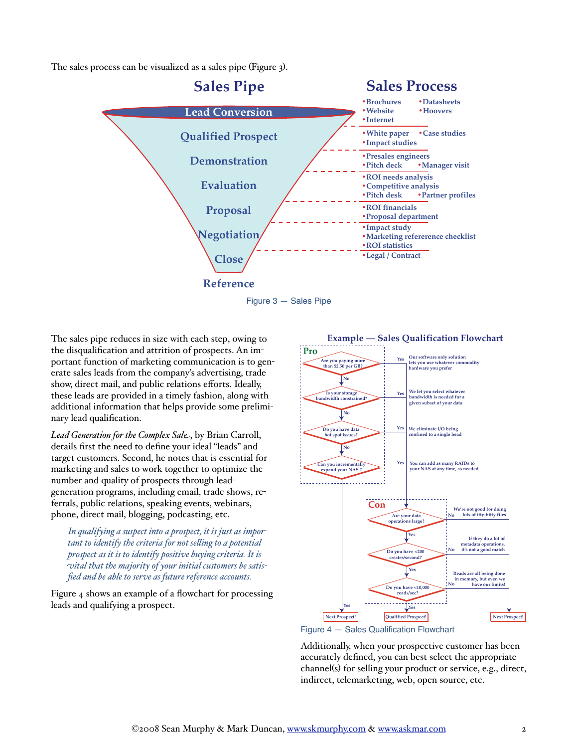The sales process can be visualized as a sales pipe (Figure 3).



The sales pipe reduces in size with each step, owing to the disqualification and attrition of prospects. An im portant function of marketing communication is to gen erate sales leads from the company's advertising, trade show, direct mail, and public relations efforts. Ideally, these leads are provided in a timely fashion, along with additional information that helps provide some prelimi nary lead qualification.

*Lead Generation for the Complex Sal*, by Brian Carroll, details first the need to define your ideal "leads" and target customers. Second, he notes that is essential for marketing and sales to work together to optimize the number and quality of prospects through lead generation programs, including email, trade shows, re ferrals, public relations, speaking events, webinars, phone, direct mail, blogging, podcasting, etc.

*In qualifying a suspect into a prospect, it is just as impor tant to identify the criteria for not se-ing to a potential prospect as it is to identify positive buying criteria. It is ital that the majority of your initial customers be satis fied and be able to serve as future reference accounts.*

Figure 4 shows an example of a flowchart for processing leads and qualifying a prospect.



Figure 4 — Sales Qualification Flowchart

Additionally, when your prospective customer has been accurately defined, you can best select the appropriate channel(s) for selling your product or service, e.g., direct, indirect, telemarketing, web, open source, etc.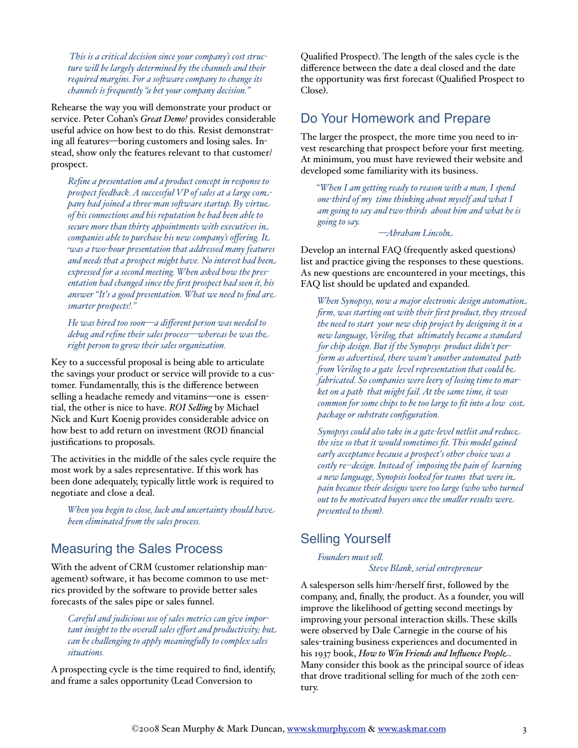*This is a critical decision since your company's cost struc ture wi be largely determined by the channels and their required margins. For a software company to change its channels is frequently "a bet your company decision."* 

Rehearse the way you will demonstrate your product or service. Peter Cohan's *Great Demo!* provides considerable useful advice on how best to do this. Resist demonstrat ing all features—boring customers and losing sales. Instead, show only the features relevant to that customer/ prospect.

*Refine a presentation and a product concept in response to prospect feedback. A successful VP of sales at a large co pany had joined a three-man soware startup. By virtu of his connections and his reputation he had been able to secure more than thirty appointments with executives i companies able to purchase his new company's offering. It. as a two-hour presentation that addressed many features and needs that a prospect might have. No interest had bee expressed for a second meeting. When asked how the pres entation had changed since the first prospect had seen it, his answer "It's a good presentation. What we need to find ar smarter prospects!."*

*He was hired too soon-a different person was needed to* debug and refine their sales process—whereas he was the *right person to grow their sales organization.*

Key to a successful proposal is being able to articulate the savings your product or service will provide to a cus tomer. Fundamentally, this is the difference between selling a headache remedy and vitamins—one is essential, the other is nice to have. *ROI Se ing* by Michael Nick and Kurt Koenig provides considerable advice on how best to add return on investment (ROI) financial justifications to proposals.

The activities in the middle of the sales cycle require the most work by a sales representative. If this work has been done adequately, typically little work is required to negotiate and close a deal.

*When you begin to close, luck and uncertainty should hav been eliminated from the sales process.* 

### Measuring the Sales Process

With the advent of CRM (customer relationship management) software, it has become common to use metrics provided by the software to provide better sales forecasts of the sales pipe or sales funnel.

*Careful and judicious use of sales metrics can give impor tant insight to the overall sales effort and productivity; but. can be challenging to apply meaningfully to complex sales situations.*

A prospecting cycle is the time required to find, identify, and frame a sales opportunity Lead Conversion to

Qualified Prospect. The length of the sales cycle is the difference between the date a deal closed and the date the opportunity was first forecast Qualified Prospect to Close).

#### Do Your Homework and Prepare

The larger the prospect, the more time you need to in vest researching that prospect before your first meeting. At minimum, you must have reviewed their website and developed some familiarity with its business.

*"When I am getting ready to reason with a man, I spend one-third of my time thinking about myself and what I am going to say and two-thirds about him and what he is going to say.*

 *Abraham Lincol* 

Develop an internal FAQ frequently asked questions list and practice giving the responses to these questions. As new questions are encountered in your meetings, this FAQ list should be updated and expanded.

*When Synopsys, now a major electronic design automatio firm, was starting out with their first product, they stressed the need to start your new chip project by designing it in a new language, Verilog, that ultimately became a standard for chip design. But if the Synopsys product didn't per form as advertised, there wasn't another automated path om Verilog to a gate level representation that could b fabricated. So companies were leery of losing time to mar ket on a path that might fail. At the same time, it was common for some chips to be too large to fit into a low cos package or substrate configuration.*

*Synopsys could also take in a gate-level netlist and reduc the size so that it would sometimes fit. This model gained early acceptance because a prospect's other choice was a costly re--design. Instead of imposing the pain of learning a new language, Synopsis looked for teams that were i pain because their designs were too large who who turned out to be motivated buyers once the sma er results wer presented to them.*

#### Selling Yourself

#### Founders must sell.

*Steve Blank, serial entrepreneur*

A salesperson sells him-/herself first, followed by the company, and, finally, the product. As a founder, you will improve the likelihood of getting second meetings by improving your personal interaction skills. These skills were observed by Dale Carnegie in the course of his sales-training business experiences and documented in his 1937 book, *How to Win Friends and Influence Peopl* . Many consider this book as the principal source of ideas that drove traditional selling for much of the 20th cen tury.